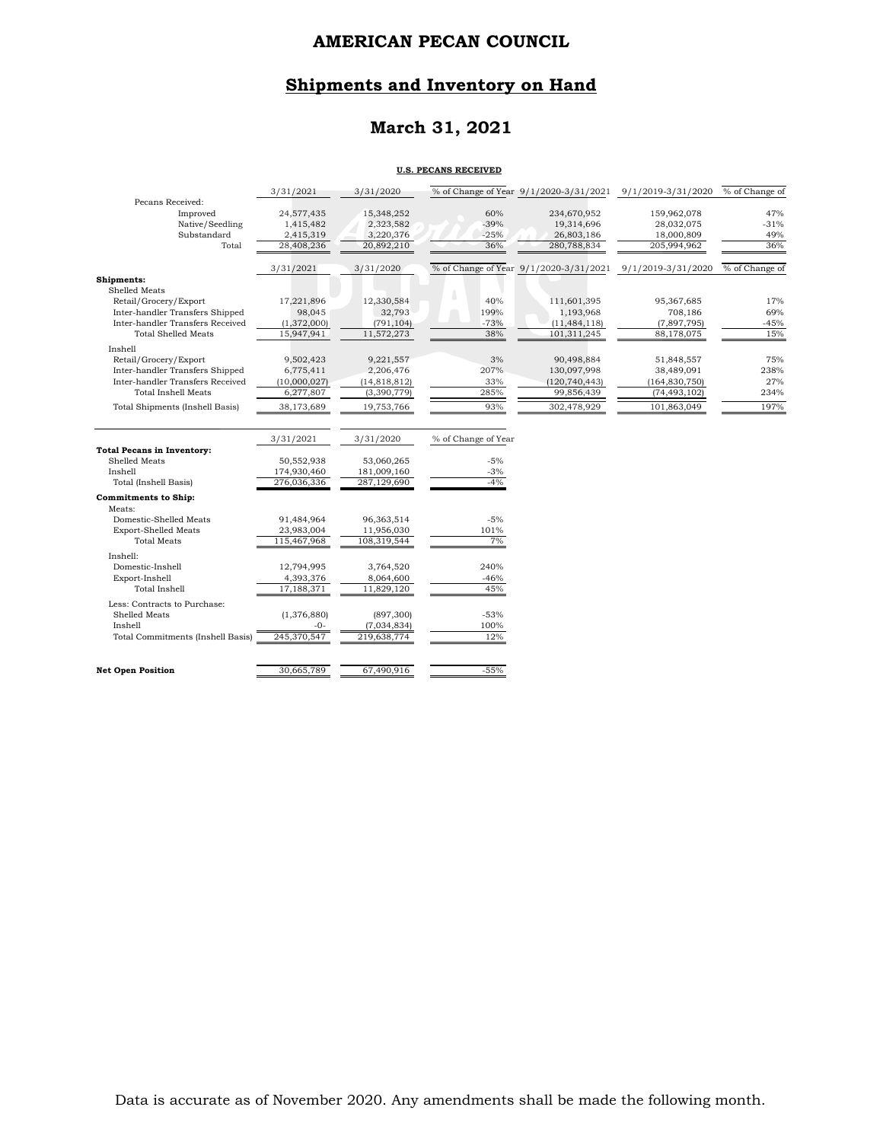# **Shipments and Inventory on Hand**

## **March 31, 2021**

#### **U.S. PECANS RECEIVED**

|                                          | 3/31/2021              | 3/31/2020              |                     |                                        | % of Change of Year 9/1/2020-3/31/2021 9/1/2019-3/31/2020 | % of Change of |
|------------------------------------------|------------------------|------------------------|---------------------|----------------------------------------|-----------------------------------------------------------|----------------|
| Pecans Received:                         |                        |                        |                     |                                        |                                                           | 47%            |
| Improved<br>Native/Seedling              | 24,577,435             | 15,348,252             | 60%<br>$-39%$       | 234,670,952                            | 159,962,078                                               | $-31%$         |
| Substandard                              | 1,415,482<br>2,415,319 | 2,323,582<br>3,220,376 | $-25%$              | 19,314,696<br>26,803,186               | 28,032,075<br>18,000,809                                  | 49%            |
| Total                                    | 28,408,236             | 20,892,210             | 36%                 | 280,788,834                            | 205,994,962                                               | 36%            |
|                                          |                        |                        |                     |                                        |                                                           |                |
|                                          | 3/31/2021              | 3/31/2020              |                     | % of Change of Year 9/1/2020-3/31/2021 | 9/1/2019-3/31/2020                                        | % of Change of |
| Shipments:                               |                        |                        |                     |                                        |                                                           |                |
| Shelled Meats                            |                        |                        |                     |                                        |                                                           |                |
| Retail/Grocery/Export                    | 17,221,896             | 12,330,584             | 40%                 | 111,601,395                            | 95,367,685                                                | 17%            |
| Inter-handler Transfers Shipped          | 98,045                 | 32,793                 | 199%                | 1,193,968                              | 708,186                                                   | 69%            |
| Inter-handler Transfers Received         | (1,372,000)            | (791, 104)             | $-73%$              | (11, 484, 118)                         | (7,897,795)                                               | $-45%$         |
| <b>Total Shelled Meats</b>               | 15,947,941             | 11,572,273             | 38%                 | 101.311.245                            | 88,178,075                                                | 15%            |
| Inshell                                  |                        |                        |                     |                                        |                                                           |                |
| Retail/Grocery/Export                    | 9,502,423              | 9,221,557              | 3%                  | 90,498,884                             | 51,848,557                                                | 75%            |
| Inter-handler Transfers Shipped          | 6,775,411              | 2,206,476              | 207%                | 130,097,998                            | 38,489,091                                                | 238%           |
| Inter-handler Transfers Received         | (10,000,027)           | (14, 818, 812)         | 33%                 | (120, 740, 443)                        | (164, 830, 750)                                           | 27%            |
| <b>Total Inshell Meats</b>               | 6,277,807              | (3,390,779)            | 285%                | 99,856,439                             | (74, 493, 102)                                            | 234%           |
| <b>Total Shipments (Inshell Basis)</b>   | 38,173,689             | 19,753,766             | 93%                 | 302,478,929                            | 101,863,049                                               | 197%           |
|                                          | 3/31/2021              | 3/31/2020              | % of Change of Year |                                        |                                                           |                |
| <b>Total Pecans in Inventory:</b>        |                        |                        |                     |                                        |                                                           |                |
| Shelled Meats                            | 50,552,938             | 53,060,265             | $-5%$               |                                        |                                                           |                |
| Inshell                                  | 174,930,460            | 181,009,160            | $-3%$               |                                        |                                                           |                |
| Total (Inshell Basis)                    | 276,036,336            | 287,129,690            | $-4%$               |                                        |                                                           |                |
| <b>Commitments to Ship:</b>              |                        |                        |                     |                                        |                                                           |                |
| Meats:                                   |                        |                        |                     |                                        |                                                           |                |
| Domestic-Shelled Meats                   | 91,484,964             | 96,363,514             | $-5%$               |                                        |                                                           |                |
| <b>Export-Shelled Meats</b>              | 23,983,004             | 11,956,030             | 101%                |                                        |                                                           |                |
| <b>Total Meats</b>                       | 115,467,968            | 108,319,544            | 7%                  |                                        |                                                           |                |
| Inshell:                                 |                        |                        |                     |                                        |                                                           |                |
| Domestic-Inshell                         | 12,794,995             | 3,764,520              | 240%                |                                        |                                                           |                |
| Export-Inshell                           | 4,393,376              | 8,064,600              | $-46%$              |                                        |                                                           |                |
| Total Inshell                            | 17,188,371             | 11,829,120             | 45%                 |                                        |                                                           |                |
| Less: Contracts to Purchase:             |                        |                        |                     |                                        |                                                           |                |
| Shelled Meats                            | (1,376,880)            | (897, 300)             | $-53%$              |                                        |                                                           |                |
| Inshell                                  | -0-                    | (7,034,834)            | 100%                |                                        |                                                           |                |
| <b>Total Commitments (Inshell Basis)</b> | 245,370,547            | 219,638,774            | 12%                 |                                        |                                                           |                |
|                                          |                        |                        |                     |                                        |                                                           |                |
| <b>Net Open Position</b>                 | 30,665,789             | 67,490,916             | $-55%$              |                                        |                                                           |                |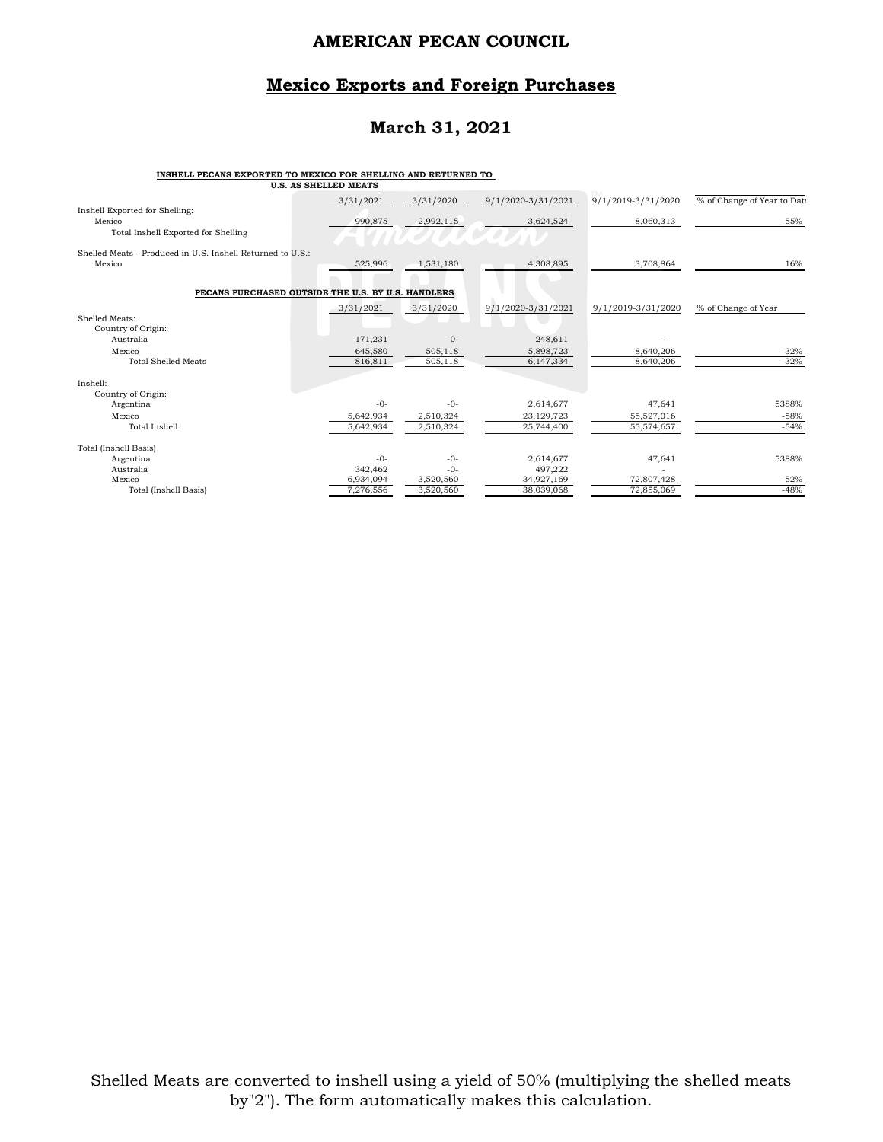#### **Mexico Exports and Foreign Purchases**

# **March 31, 2021**

#### **INSHELL PECANS EXPORTED TO MEXICO FOR SHELLING AND RETURNED TO**

|                                                            | U.S. AS SHELLED MEATS |           |                    |                    |                             |
|------------------------------------------------------------|-----------------------|-----------|--------------------|--------------------|-----------------------------|
|                                                            | 3/31/2021             | 3/31/2020 | 9/1/2020-3/31/2021 | 9/1/2019-3/31/2020 | % of Change of Year to Date |
| Inshell Exported for Shelling:<br>Mexico                   | 990,875               | 2,992,115 | 3,624,524          | 8,060,313          | $-55%$                      |
| Total Inshell Exported for Shelling                        |                       |           |                    |                    |                             |
| Shelled Meats - Produced in U.S. Inshell Returned to U.S.: |                       |           |                    |                    |                             |
| Mexico                                                     | 525,996               | 1,531,180 | 4,308,895          | 3,708,864          | 16%                         |
| PECANS PURCHASED OUTSIDE THE U.S. BY U.S. HANDLERS         |                       |           |                    |                    |                             |
|                                                            | 3/31/2021             | 3/31/2020 | 9/1/2020-3/31/2021 | 9/1/2019-3/31/2020 | % of Change of Year         |
| Shelled Meats:                                             |                       |           |                    |                    |                             |
| Country of Origin:                                         |                       |           |                    |                    |                             |
| Australia                                                  | 171,231               | $-0-$     | 248,611            |                    |                             |
| Mexico                                                     | 645,580               | 505,118   | 5,898,723          | 8,640,206          | $-32%$                      |
| <b>Total Shelled Meats</b>                                 | 816,811               | 505, 118  | 6,147,334          | 8,640,206          | $-32%$                      |
| Inshell:                                                   |                       |           |                    |                    |                             |
| Country of Origin:                                         |                       |           |                    |                    |                             |
| Argentina                                                  | $-0-$                 | $-()$ -   | 2,614,677          | 47,641             | 5388%                       |
| Mexico                                                     | 5,642,934             | 2,510,324 | 23,129,723         | 55,527,016         | $-58%$                      |
| Total Inshell                                              | 5,642,934             | 2,510,324 | 25,744,400         | 55,574,657         | $-54%$                      |
| Total (Inshell Basis)                                      |                       |           |                    |                    |                             |
| Argentina                                                  | $-0-$                 | $-0-$     | 2,614,677          | 47,641             | 5388%                       |
| Australia                                                  | 342,462               | $-0-$     | 497,222            |                    |                             |
| Mexico                                                     | 6,934,094             | 3,520,560 | 34,927,169         | 72,807,428         | $-52%$                      |
| Total (Inshell Basis)                                      | 7,276,556             | 3,520,560 | 38,039,068         | 72,855,069         | $-48%$                      |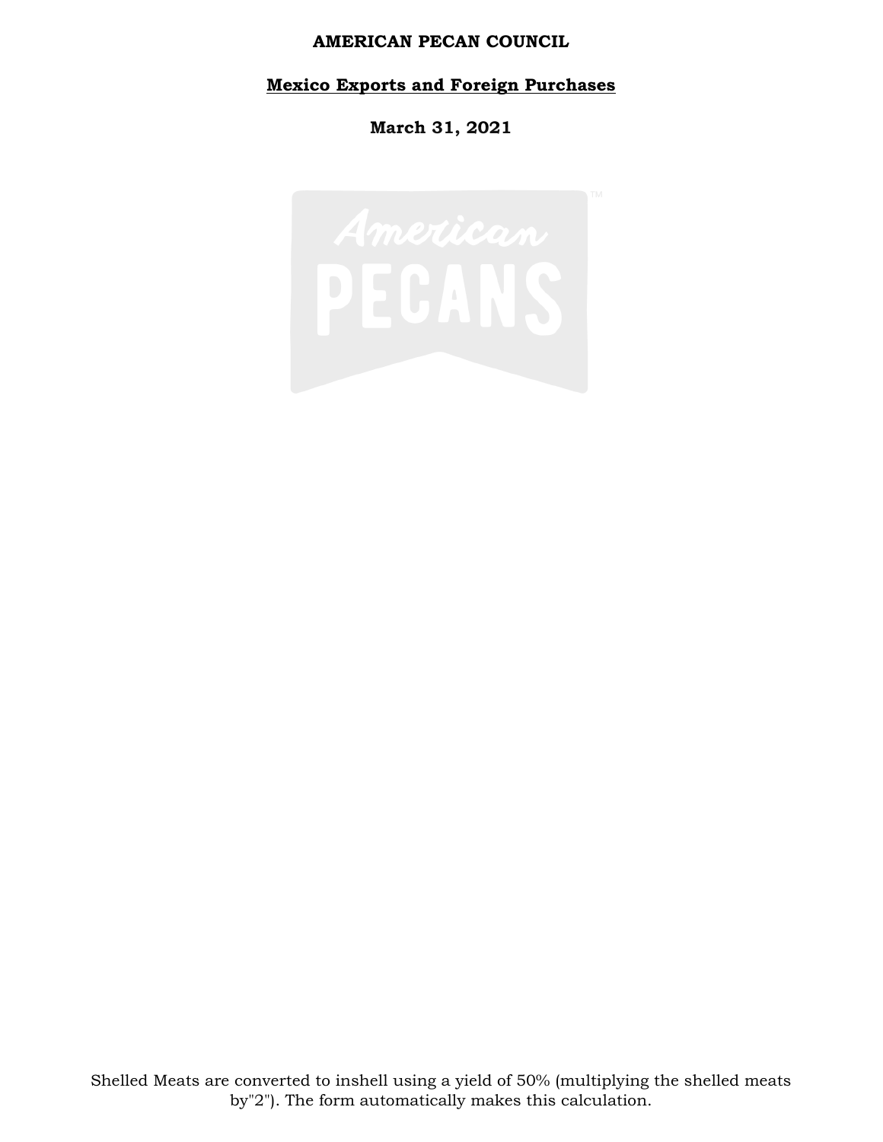# **Mexico Exports and Foreign Purchases**

**March 31, 2021**

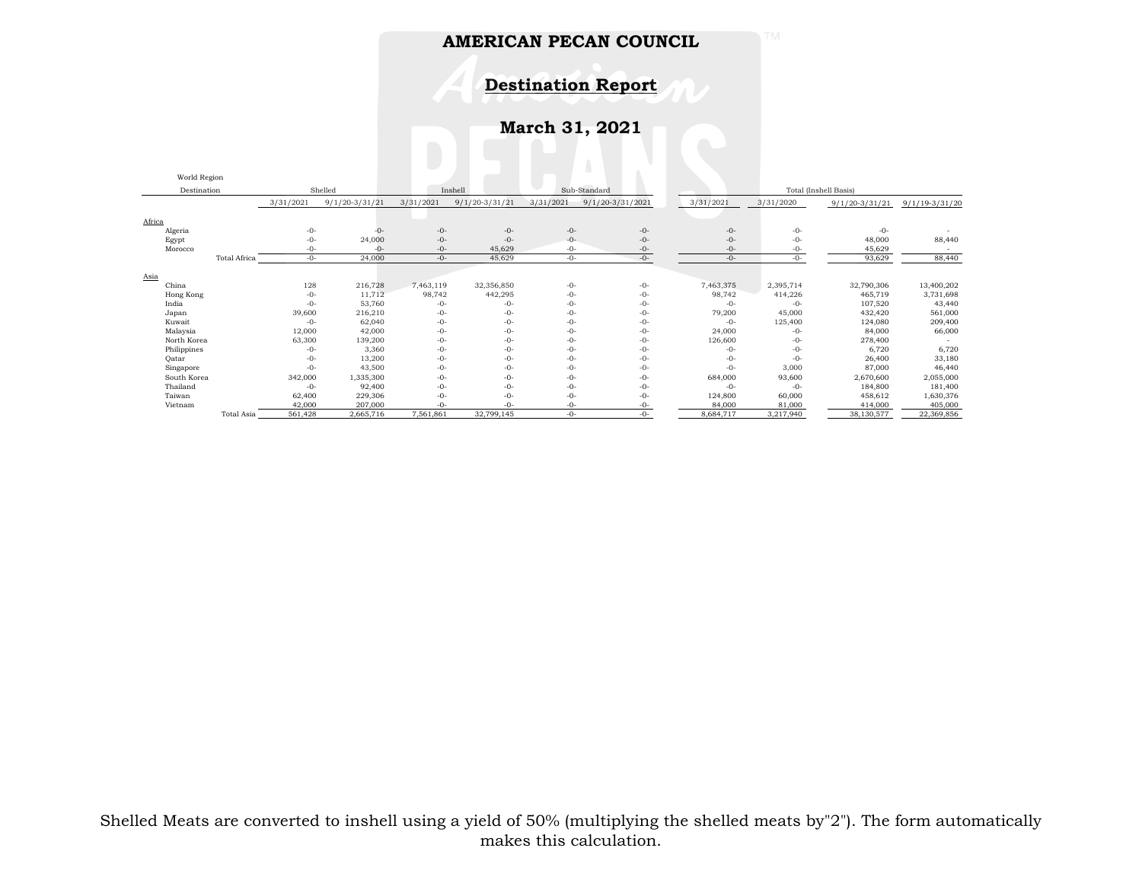**Destination Report**

**March 31, 2021**

| World Region       |              |           |                    |           |                    |           |                      |                       |           |                    |                    |
|--------------------|--------------|-----------|--------------------|-----------|--------------------|-----------|----------------------|-----------------------|-----------|--------------------|--------------------|
| Destination        |              |           | Shelled            |           | Inshell            |           | Sub-Standard         | Total (Inshell Basis) |           |                    |                    |
|                    |              | 3/31/2021 | $9/1/20 - 3/31/21$ | 3/31/2021 | $9/1/20 - 3/31/21$ | 3/31/2021 | $9/1/20 - 3/31/2021$ | 3/31/2021             | 3/31/2020 | $9/1/20 - 3/31/21$ | $9/1/19 - 3/31/20$ |
| Africa             |              |           |                    |           |                    |           |                      |                       |           |                    |                    |
| Algeria            |              | $-0-$     | $-0-$              | $-0-$     | $-0-$              | $-0-$     | $-0-$                | $-0-$                 | $-0-$     | $-0-$              |                    |
| Egypt              |              | $-0-$     | 24,000             | $-0-$     | $-0-$              | $-0-$     | $-0-$                | $-0-$                 | $-0-$     | 48,000             | 88,440             |
| Morocco            |              | $-0-$     | $-0-$              | $-0-$     | 45,629             | $-0-$     | $-0-$                | $-0-$                 | $-0-$     | 45,629             |                    |
|                    | Total Africa | $-0-$     | 24,000             | $-0-$     | 45,629             | $-0-$     | $-0-$                | $-0-$                 | $-0-$     | 93,629             | 88,440             |
|                    |              |           |                    |           |                    |           |                      |                       |           |                    |                    |
| Asia<br>China      |              | 128       | 216,728            | 7,463,119 | 32,356,850         | $-0-$     | -0-                  | 7,463,375             | 2,395,714 | 32,790,306         | 13,400,202         |
|                    |              | $-0-$     | 11,712             | 98,742    | 442,295            | $-0-$     | $-0-$                | 98,742                | 414,226   | 465,719            | 3,731,698          |
| Hong Kong<br>India |              | $-0-$     | 53,760             | $-0-$     | $-0-$              | $-0-$     | $-0-$                | $-0-$                 | $-0-$     | 107,520            | 43,440             |
|                    |              | 39,600    | 216,210            | $-0-$     | $-0-$              | $-0-$     | $-0-$                | 79,200                | 45,000    | 432,420            | 561,000            |
| Japan              |              |           |                    | $-0-$     |                    |           |                      |                       |           |                    |                    |
| Kuwait             |              | $-0-$     | 62,040             |           | $-0-$              | $-0-$     | $-0-$                | $-0-$                 | 125,400   | 124,080            | 209,400            |
| Malaysia           |              | 12,000    | 42,000             | $-0-$     | $-0-$              | $-0-$     | $-0-$                | 24,000                | $-0-$     | 84,000             | 66,000             |
| North Korea        |              | 63,300    | 139,200            | $-0-$     | $-0-$              | $-0-$     | -0-                  | 126,600               | $-0-$     | 278,400            |                    |
| Philippines        |              | $-0-$     | 3,360              | $-0-$     | $-0-$              | -0-       | $-0-$                | $-0-$                 | $-0-$     | 6,720              | 6,720              |
| Oatar              |              | $-0-$     | 13,200             | $-0-$     | $-0-$              | $-0-$     | $-0-$                | $-0-$                 | $-0-$     | 26,400             | 33,180             |
| Singapore          |              | $-0-$     | 43,500             | $-0-$     | $-0-$              | $-0-$     | $-0-$                | $-0-$                 | 3,000     | 87,000             | 46,440             |
| South Korea        |              | 342,000   | 1,335,300          | $-0-$     | $-0-$              | $-0-$     | $-0-$                | 684,000               | 93,600    | 2,670,600          | 2,055,000          |
| Thailand           |              | $-0-$     | 92,400             | $-0-$     | $-0-$              | $-0-$     | $-0-$                | $-0-$                 | $-0-$     | 184,800            | 181,400            |
| Taiwan             |              | 62,400    | 229,306            | $-0-$     | $-0-$              | $-0-$     | $-0-$                | 124,800               | 60,000    | 458,612            | 1,630,376          |
| Vietnam            |              | 42,000    | 207,000            | $-0-$     | $-0-$              | $-0-$     | $-0-$                | 84,000                | 81,000    | 414,000            | 405,000            |
|                    | Total Asia   | 561,428   | 2,665,716          | 7,561,861 | 32,799,145         | $-0-$     | $-0-$                | 8,684,717             | 3,217,940 | 38,130,577         | 22,369,856         |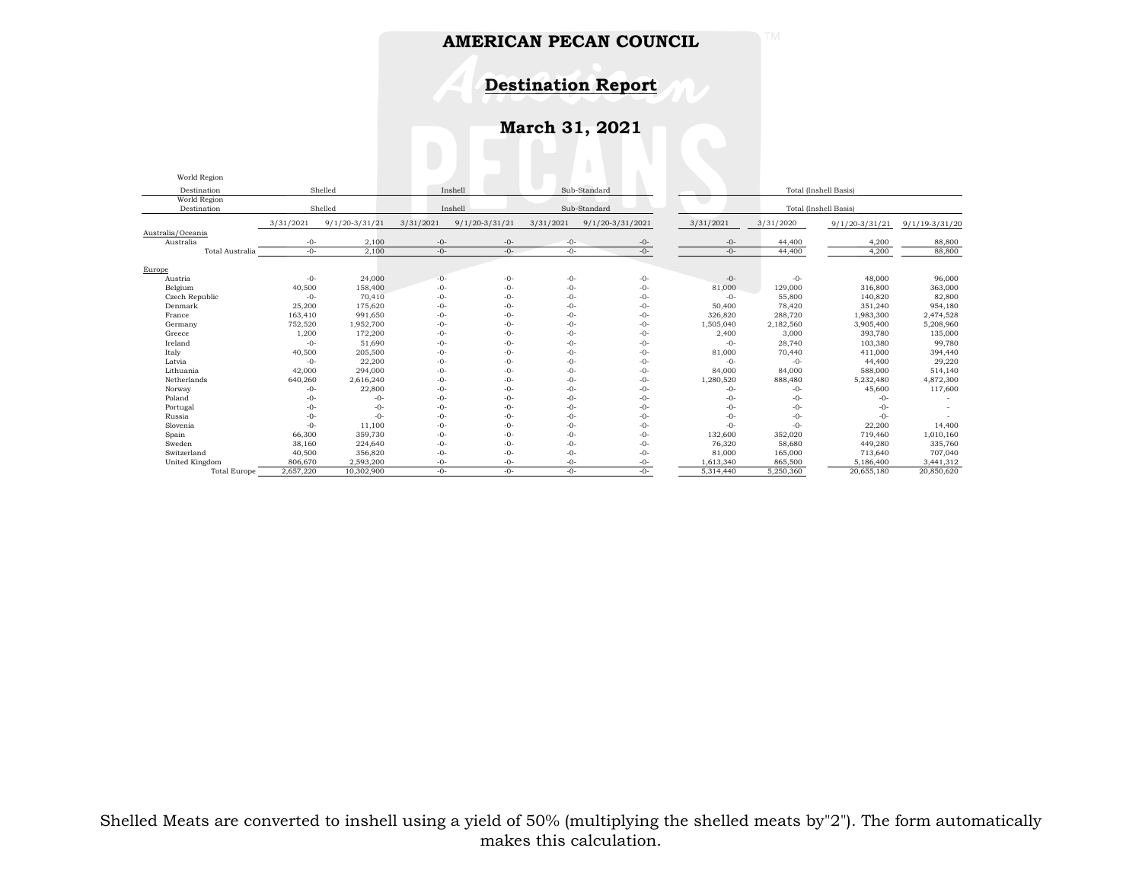**Destination Report**

**March 31, 2021**

| World Region        |           |                                    |           |                    |           |                       |           |                       |                  |                    |  |  |
|---------------------|-----------|------------------------------------|-----------|--------------------|-----------|-----------------------|-----------|-----------------------|------------------|--------------------|--|--|
| Destination         |           | Shelled<br>Sub-Standard<br>Inshell |           |                    |           | Total (Inshell Basis) |           |                       |                  |                    |  |  |
| World Region        |           |                                    |           |                    |           |                       |           |                       |                  |                    |  |  |
| Destination         | Shelled   |                                    |           | Inshell            |           | Sub-Standard          |           | Total (Inshell Basis) |                  |                    |  |  |
|                     | 3/31/2021 | $9/1/20 - 3/31/21$                 | 3/31/2021 | $9/1/20 - 3/31/21$ | 3/31/2021 | 9/1/20-3/31/2021      | 3/31/2021 | 3/31/2020             | $9/1/20-3/31/21$ | $9/1/19 - 3/31/20$ |  |  |
| Australia/Oceania   |           |                                    |           |                    |           |                       |           |                       |                  |                    |  |  |
| Australia           | $-0-$     | 2,100                              | $-0-$     | $-0-$              | -0-       | $-0-$                 | $-0-$     | 44,400                | 4,200            | 88,800             |  |  |
| Total Australia     | $-()$ -   | 2,100                              | $-0-$     | $-()$ -            | $-0-$     | $-0-$                 | $-0-$     | 44,400                | 4,200            | 88,800             |  |  |
| Europe              |           |                                    |           |                    |           |                       |           |                       |                  |                    |  |  |
| Austria             | $-0-$     | 24,000                             | $-0-$     | $-0-$              | $-0-$     | $-0-$                 | $-0-$     | $-0-$                 | 48,000           | 96,000             |  |  |
| Belgium             | 40,500    | 158,400                            | $-0-$     | $-0-$              | $-0-$     | $-0-$                 | 81,000    | 129,000               | 316,800          | 363,000            |  |  |
| Czech Republic      | $-0-$     | 70,410                             | $-0-$     | $-0-$              | $-0-$     | $-0-$                 | $-0-$     | 55,800                | 140,820          | 82,800             |  |  |
| Denmark             | 25,200    | 175,620                            | $-0-$     | $-0-$              | $-0-$     | $-0-$                 | 50,400    | 78,420                | 351,240          | 954,180            |  |  |
| France              | 163,410   | 991,650                            | $-0-$     | $-0-$              | $-0-$     | $-0-$                 | 326,820   | 288,720               | 1,983,300        | 2,474,528          |  |  |
| Germany             | 752,520   | 1,952,700                          | $-0-$     | $-0-$              | $-0-$     | $-0-$                 | 1,505,040 | 2,182,560             | 3,905,400        | 5,208,960          |  |  |
| Greece              | 1,200     | 172,200                            | $-0-$     | $-0-$              | -0-       | $-0-$                 | 2,400     | 3,000                 | 393,780          | 135,000            |  |  |
| Ireland             | $-0-$     | 51,690                             | $-0-$     | $-0-$              | $-0-$     | $-0-$                 | $-0-$     | 28,740                | 103,380          | 99,780             |  |  |
| Italy               | 40,500    | 205,500                            | $-0-$     | $-0-$              | $-0-$     | $-0-$                 | 81,000    | 70,440                | 411,000          | 394,440            |  |  |
| Latvia              | $-0-$     | 22,200                             | $-0-$     | $-0-$              | $-0-$     | $-0-$                 | $-0-$     | $-0-$                 | 44,400           | 29,220             |  |  |
| Lithuania           | 42,000    | 294,000                            | $-0-$     | $-0-$              | -0-       | $-0-$                 | 84,000    | 84,000                | 588,000          | 514,140            |  |  |
| Netherlands         | 640,260   | 2,616,240                          | $-0-$     | $-0-$              | $-0-$     | $-0-$                 | 1,280,520 | 888,480               | 5,232,480        | 4,872,300          |  |  |
| Norway              | $-0-$     | 22,800                             | $-0-$     | $-0-$              | $-0-$     | $-0-$                 | $-0-$     | $-0-$                 | 45,600           | 117,600            |  |  |
| Poland              | $-0-$     | $-0-$                              | $-0-$     | $-0-$              | -0-       | $-0-$                 | -0-       | $-0-$                 | $-0-$            |                    |  |  |
| Portugal            | $-0-$     | $-0-$                              | $-0-$     | $-0-$              | $-0-$     | $-0-$                 | -0-       | $-0-$                 | $-0-$            |                    |  |  |
| Russia              | $-0-$     | $-0-$                              | $-0-$     | $-0-$              | $-0-$     | $-0-$                 | $-0-$     | $-0-$                 | $-0-$            |                    |  |  |
| Slovenia            | $-0-$     | 11,100                             | $-0-$     | $-0-$              | $-0-$     | $-0-$                 | $-0-$     | $-0-$                 | 22,200           | 14,400             |  |  |
| Spain               | 66,300    | 359,730                            | $-0-$     | $-0-$              | -0-       | $-0-$                 | 132,600   | 352,020               | 719,460          | 1,010,160          |  |  |
| Sweden              | 38,160    | 224,640                            | $-0-$     | $-0-$              | $-0-$     | $-0-$                 | 76,320    | 58,680                | 449,280          | 335,760            |  |  |
| Switzerland         | 40,500    | 356,820                            | $-0-$     | $-0-$              | -0-       | $-0-$                 | 81,000    | 165,000               | 713,640          | 707,040            |  |  |
| United Kingdom      | 806,670   | 2,593,200                          | $-0-$     | $-0-$              | -0-       | $-0-$                 | 1,613,340 | 865,500               | 5,186,400        | 3,441,312          |  |  |
| <b>Total Europe</b> | 2,657,220 | 10,302,900                         | $-0-$     | $-()$ -            | -0-       | $-()$ -               | 5.314.440 | 5,250,360             | 20,655,180       | 20,850,620         |  |  |